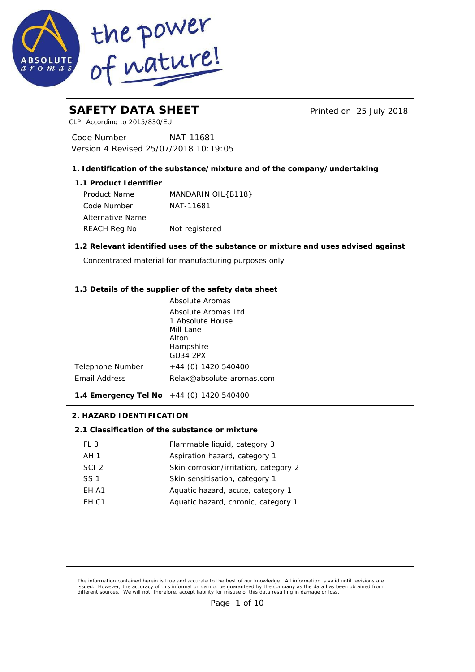

 $\sqrt{ }$ 

L

| <b>SAFETY DATA SHEET</b><br>CLP: According to 2015/830/EU |                                                                                   | Printed on 25 July 2018 |  |
|-----------------------------------------------------------|-----------------------------------------------------------------------------------|-------------------------|--|
| Code Number<br>Version 4 Revised 25/07/2018 10:19:05      | NAT-11681                                                                         |                         |  |
|                                                           | 1. I dentification of the substance/mixture and of the company/undertaking        |                         |  |
| 1.1 Product I dentifier                                   |                                                                                   |                         |  |
| Product Name                                              | MANDARIN OIL{B118}                                                                |                         |  |
| Code Number<br>Alternative Name                           | NAT-11681                                                                         |                         |  |
| REACH Reg No                                              | Not registered                                                                    |                         |  |
|                                                           | 1.2 Relevant identified uses of the substance or mixture and uses advised against |                         |  |
|                                                           | Concentrated material for manufacturing purposes only                             |                         |  |
|                                                           | 1.3 Details of the supplier of the safety data sheet                              |                         |  |
|                                                           | Absolute Aromas                                                                   |                         |  |
|                                                           | Absolute Aromas Ltd<br>1 Absolute House<br>Mill Lane<br>Alton                     |                         |  |
|                                                           | Hampshire<br>GU34 2PX                                                             |                         |  |
| Telephone Number                                          | +44 (0) 1420 540400                                                               |                         |  |
| <b>Email Address</b>                                      | Relax@absolute-aromas.com                                                         |                         |  |
| 1.4 Emergency Tel No +44 (0) 1420 540400                  |                                                                                   |                         |  |
| 2. HAZARD I DENTI FI CATION                               |                                                                                   |                         |  |
|                                                           | 2.1 Classification of the substance or mixture                                    |                         |  |
| FL <sub>3</sub>                                           | Flammable liquid, category 3                                                      |                         |  |
| AH <sub>1</sub>                                           | Aspiration hazard, category 1                                                     |                         |  |
| SCI <sub>2</sub>                                          | Skin corrosion/irritation, category 2                                             |                         |  |
| <b>SS1</b>                                                | Skin sensitisation, category 1                                                    |                         |  |
| EH A1                                                     | Aquatic hazard, acute, category 1                                                 |                         |  |
| EH <sub>C1</sub>                                          | Aquatic hazard, chronic, category 1                                               |                         |  |
|                                                           |                                                                                   |                         |  |
|                                                           |                                                                                   |                         |  |
|                                                           |                                                                                   |                         |  |

The information contained herein is true and accurate to the best of our knowledge. All information is valid until revisions are<br>issued. However, the accuracy of this information cannot be guaranteed by the company as the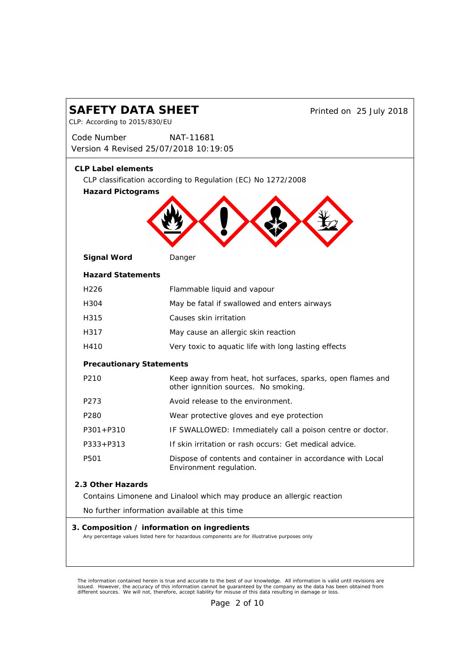| <b>SAFETY DATA SHEET</b><br>CLP: According to 2015/830/EU                                                                                    |                                                                       | Printed on 25 July 2018                                    |
|----------------------------------------------------------------------------------------------------------------------------------------------|-----------------------------------------------------------------------|------------------------------------------------------------|
| Code Number<br>Version 4 Revised 25/07/2018 10:19:05                                                                                         | NAT-11681                                                             |                                                            |
| <b>CLP Label elements</b><br><b>Hazard Pictograms</b>                                                                                        | CLP classification according to Regulation (EC) No 1272/2008          |                                                            |
| Signal Word                                                                                                                                  | Danger                                                                |                                                            |
| <b>Hazard Statements</b>                                                                                                                     |                                                                       |                                                            |
| H <sub>226</sub>                                                                                                                             | Flammable liquid and vapour                                           |                                                            |
| H304                                                                                                                                         |                                                                       | May be fatal if swallowed and enters airways               |
| H315                                                                                                                                         | Causes skin irritation                                                |                                                            |
| H317                                                                                                                                         | May cause an allergic skin reaction                                   |                                                            |
| H410                                                                                                                                         |                                                                       | Very toxic to aquatic life with long lasting effects       |
| <b>Precautionary Statements</b>                                                                                                              |                                                                       |                                                            |
| P210                                                                                                                                         | other ignnition sources. No smoking.                                  | Keep away from heat, hot surfaces, sparks, open flames and |
| P273                                                                                                                                         | Avoid release to the environment.                                     |                                                            |
| P280                                                                                                                                         | Wear protective gloves and eye protection                             |                                                            |
| $P301 + P310$                                                                                                                                |                                                                       | IF SWALLOWED: Immediately call a poison centre or doctor.  |
| $P333 + P313$                                                                                                                                |                                                                       | If skin irritation or rash occurs: Get medical advice.     |
| P501                                                                                                                                         | Environment regulation.                                               | Dispose of contents and container in accordance with Local |
| 2.3 Other Hazards                                                                                                                            |                                                                       |                                                            |
|                                                                                                                                              | Contains Limonene and Linalool which may produce an allergic reaction |                                                            |
|                                                                                                                                              | No further information available at this time                         |                                                            |
| 3. Composition / information on ingredients<br>Any percentage values listed here for hazardous components are for illustrative purposes only |                                                                       |                                                            |

The information contained herein is true and accurate to the best of our knowledge. All information is valid until revisions are<br>issued. However, the accuracy of this information cannot be guaranteed by the company as the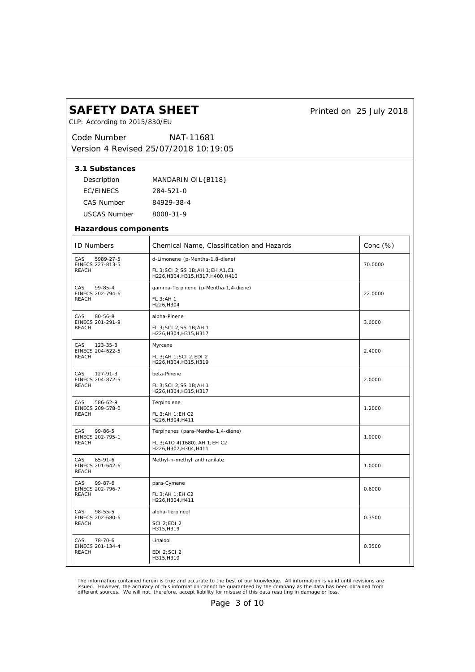| <b>SAFETY DATA SHEET</b><br>CLP: According to 2015/830/EU                                               |                                                                                                              | Printed on 25 July 2018 |
|---------------------------------------------------------------------------------------------------------|--------------------------------------------------------------------------------------------------------------|-------------------------|
| Code Number                                                                                             | <i>NAT-11681</i><br>Version 4 Revised 25/07/2018 10:19:05                                                    |                         |
| 3.1 Substances<br>Description<br>EC/EINECS<br>CAS Number<br><b>USCAS Number</b><br>Hazardous components | MANDARIN OIL{B118}<br>284-521-0<br>84929-38-4<br>8008-31-9                                                   |                         |
| <b>ID Numbers</b>                                                                                       | Chemical Name, Classification and Hazards                                                                    | Conc $(\%)$             |
| CAS<br>5989-27-5<br>EINECS 227-813-5<br><b>REACH</b>                                                    | d-Limonene (p-Mentha-1,8-diene)<br>FL 3; SCI 2; SS 1B; AH 1; EH A1, C1<br>H226, H304, H315, H317, H400, H410 | 70.0000                 |
| $99 - 85 - 4$<br>CAS.<br>EINECS 202-794-6<br><b>REACH</b>                                               | gamma-Terpinene (p-Mentha-1,4-diene)<br>FL 3; AH 1<br>H226, H304                                             | 22.0000                 |
| CAS<br>$80 - 56 - 8$<br>EINECS 201-291-9<br><b>REACH</b>                                                | alpha-Pinene<br>FL 3; SCI 2; SS 1B; AH 1<br>H226, H304, H315, H317                                           | 3.0000                  |
| CAS.<br>123-35-3<br>EINECS 204-622-5<br><b>REACH</b>                                                    | Myrcene<br>FL 3; AH 1; SCI 2; EDI 2<br>H226, H304, H315, H319                                                | 2.4000                  |
| CAS<br>127-91-3<br>EINECS 204-872-5<br><b>REACH</b>                                                     | beta-Pinene<br>FL 3; SCI 2; SS 1B; AH 1<br>H226, H304, H315, H317                                            | 2.0000                  |
| CAS<br>586-62-9<br>EINECS 209-578-0<br>REACH                                                            | Terpinolene<br>FL 3; AH 1; EH C2<br>H226, H304, H411                                                         | 1.2000                  |
| CAS<br>$99 - 86 - 5$<br>EINECS 202-795-1<br><b>RFACH</b>                                                | Terpinenes (para-Mentha-1,4-diene)<br>FL 3; ATO 4(1680); AH 1; EH C2<br>H226, H302, H304, H411               | 1.0000                  |
| CAS<br>$85 - 91 - 6$<br>EINECS 201-642-6<br>REACH                                                       | Methyl-n-methyl anthranilate                                                                                 | 1.0000                  |
| CAS<br>$99 - 87 - 6$<br>EINECS 202-796-7<br><b>REACH</b>                                                | para-Cymene<br>FL 3; AH 1; EH C2<br>H226, H304, H411                                                         | 0.6000                  |
| CAS<br>$98 - 55 - 5$<br>EINECS 202-680-6<br><b>REACH</b>                                                | alpha-Terpineol<br>SCI 2; EDI 2<br>H315, H319                                                                | 0.3500                  |
| 78-70-6<br>CAS<br>EINECS 201-134-4<br><b>REACH</b>                                                      | Linalool<br>EDI 2; SCI 2<br>H315, H319                                                                       | 0.3500                  |

The information contained herein is true and accurate to the best of our knowledge. All information is valid until revisions are<br>issued. However, the accuracy of this information cannot be guaranteed by the company as the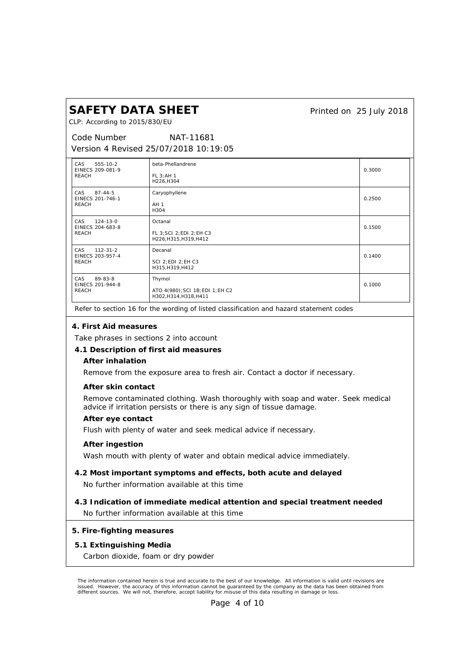*Printed on 25 July 2018*

CLP: According to 2015/830/EU

#### *Code Number Version 4 Revised 25/07/2018 10:19:05 NAT-11681*

| 555-10-2<br>CAS<br>EINECS 209-081-9<br><b>REACH</b>       | beta-Phellandrene<br>$FL 3$ ; AH 1<br>H226, H304                     | 0.3000 |
|-----------------------------------------------------------|----------------------------------------------------------------------|--------|
| CAS<br>$87 - 44 - 5$<br>EINECS 201-746-1<br><b>REACH</b>  | Caryophyllene<br>AH <sub>1</sub><br>H304                             | 0.2500 |
| CAS<br>$124 - 13 - 0$<br>EINECS 204-683-8<br><b>REACH</b> | Octanal<br>FL 3; SCI 2; EDI 2; EH C3<br>H226, H315, H319, H412       | 0.1500 |
| CAS<br>$112 - 31 - 2$<br>EINECS 203-957-4<br><b>REACH</b> | Decanal<br>SCI 2; EDI 2; EH C3<br>H315, H319, H412                   | 0.1400 |
| CAS<br>89-83-8<br>EINECS 201-944-8<br><b>REACH</b>        | Thymol<br>ATO 4(980); SCI 1B; EDI 1; EH C2<br>H302, H314, H318, H411 | 0.1000 |

Refer to section 16 for the wording of listed classification and hazard statement codes

### **4. First Aid measures**

Take phrases in sections 2 into account

- **4.1 Description of first aid measures**
	- **After inhalation**

Remove from the exposure area to fresh air. Contact a doctor if necessary.

**After skin contact**

Remove contaminated clothing. Wash thoroughly with soap and water. Seek medical advice if irritation persists or there is any sign of tissue damage.

**After eye contact**

Flush with plenty of water and seek medical advice if necessary.

### **After ingestion**

Wash mouth with plenty of water and obtain medical advice immediately.

- No further information available at this time **4.2 Most important symptoms and effects, both acute and delayed**
- No further information available at this time **4.3 Indication of immediate medical attention and special treatment needed**
- **5. Fire-fighting measures**
- **5.1 Extinguishing Media** Carbon dioxide, foam or dry powder

The information contained herein is true and accurate to the best of our knowledge. All information is valid until revisions are<br>issued. However, the accuracy of this information cannot be guaranteed by the company as the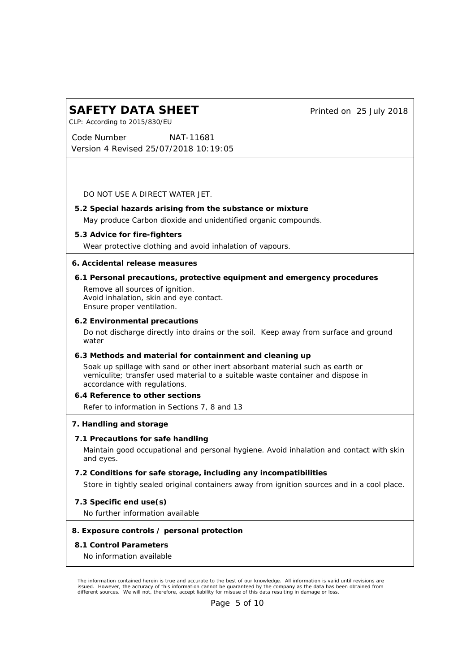CLP: According to 2015/830/EU

*Printed on 25 July 2018*

*Code Number Version 4 Revised 25/07/2018 10:19:05 NAT-11681*

### DO NOT USE A DIRECT WATER JET.

- **5.2 Special hazards arising from the substance or mixture** May produce Carbon dioxide and unidentified organic compounds.
- **5.3 Advice for fire-fighters** Wear protective clothing and avoid inhalation of vapours.

#### **6. Accidental release measures**

- **6.1 Personal precautions, protective equipment and emergency procedures** Remove all sources of ignition. Avoid inhalation, skin and eye contact. Ensure proper ventilation.
- **6.2 Environmental precautions** Do not discharge directly into drains or the soil. Keep away from surface and ground water
- **6.3 Methods and material for containment and cleaning up**

Soak up spillage with sand or other inert absorbant material such as earth or vemiculite; transfer used material to a suitable waste container and dispose in accordance with regulations.

- **6.4 Reference to other sections** Refer to information in Sections 7, 8 and 13
- **7. Handling and storage**
- **7.1 Precautions for safe handling** Maintain good occupational and personal hygiene. Avoid inhalation and contact with skin and eyes.
- **7.2 Conditions for safe storage, including any incompatibilities** Store in tightly sealed original containers away from ignition sources and in a cool place.
- **7.3 Specific end use(s)** No further information available
- **8. Exposure controls / personal protection**
- **8.1 Control Parameters** No information available

*The information contained herein is true and accurate to the best of our knowledge. All information is valid until revisions are* issued. However, the accuracy of this information cannot be guaranteed by the company as the data has been obtained from<br>different sources. We will not, therefore, accept liability for misuse of this data resulting in dama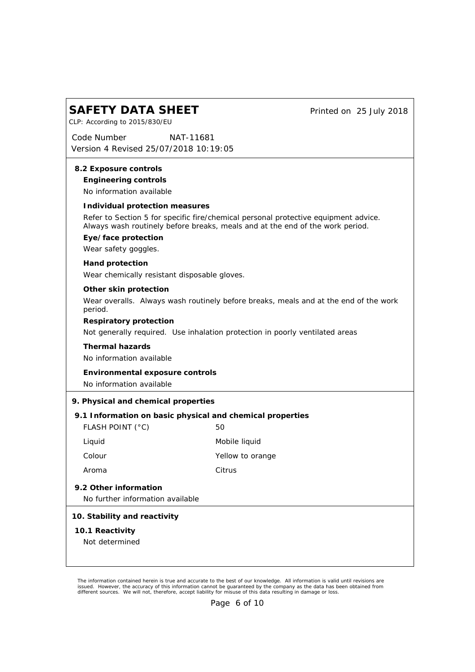CLP: According to 2015/830/EU

*Printed on 25 July 2018*

*Code Number Version 4 Revised 25/07/2018 10:19:05 NAT-11681*

| 8.2 Exposure controls                                     |                                                                                                                                                                      |  |
|-----------------------------------------------------------|----------------------------------------------------------------------------------------------------------------------------------------------------------------------|--|
| Engineering controls                                      |                                                                                                                                                                      |  |
| No information available                                  |                                                                                                                                                                      |  |
| Individual protection measures                            |                                                                                                                                                                      |  |
|                                                           | Refer to Section 5 for specific fire/chemical personal protective equipment advice.<br>Always wash routinely before breaks, meals and at the end of the work period. |  |
| Eye/face protection<br>Wear safety goggles.               |                                                                                                                                                                      |  |
| Hand protection                                           |                                                                                                                                                                      |  |
| Wear chemically resistant disposable gloves.              |                                                                                                                                                                      |  |
| Other skin protection                                     |                                                                                                                                                                      |  |
| period.                                                   | Wear overalls. Always wash routinely before breaks, meals and at the end of the work                                                                                 |  |
| Respiratory protection                                    |                                                                                                                                                                      |  |
|                                                           | Not generally required. Use inhalation protection in poorly ventilated areas                                                                                         |  |
| <b>Thermal hazards</b>                                    |                                                                                                                                                                      |  |
| No information available                                  |                                                                                                                                                                      |  |
| Environmental exposure controls                           |                                                                                                                                                                      |  |
| No information available                                  |                                                                                                                                                                      |  |
| 9. Physical and chemical properties                       |                                                                                                                                                                      |  |
| 9.1 Information on basic physical and chemical properties |                                                                                                                                                                      |  |
| FLASH POINT (°C)                                          | 50                                                                                                                                                                   |  |
| Liquid                                                    | Mobile liquid                                                                                                                                                        |  |
| Colour                                                    | Yellow to orange                                                                                                                                                     |  |
| Aroma                                                     | Citrus                                                                                                                                                               |  |
| 9.2 Other information<br>No further information available |                                                                                                                                                                      |  |
| 10. Stability and reactivity                              |                                                                                                                                                                      |  |
| 10.1 Reactivity                                           |                                                                                                                                                                      |  |
| Not determined                                            |                                                                                                                                                                      |  |
|                                                           |                                                                                                                                                                      |  |
|                                                           |                                                                                                                                                                      |  |

The information contained herein is true and accurate to the best of our knowledge. All information is valid until revisions are<br>issued. However, the accuracy of this information cannot be guaranteed by the company as the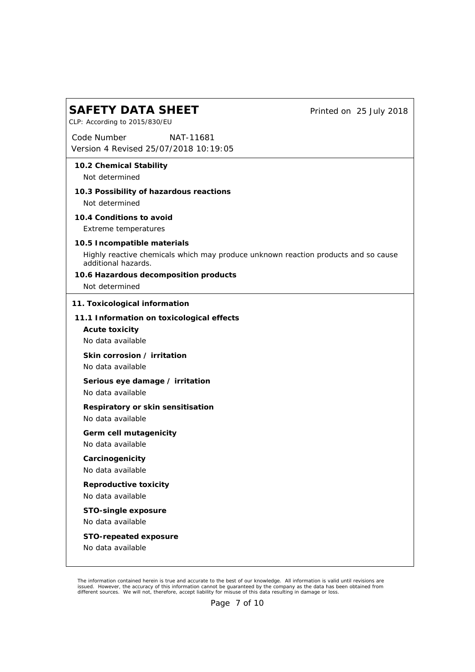CLP: According to 2015/830/EU

*Printed on 25 July 2018*

*Code Number Version 4 Revised 25/07/2018 10:19:05 NAT-11681*

**10.2 Chemical Stability** Not determined **10.3 Possibility of hazardous reactions** Not determined

- **10.4 Conditions to avoid** Extreme temperatures
- **10.5 Incompatible materials**

Highly reactive chemicals which may produce unknown reaction products and so cause additional hazards.

- **10.6 Hazardous decomposition products**
	- Not determined
- **11. Toxicological information**
- **Acute toxicity** No data available **11.1 Information on toxicological effects Skin corrosion / irritation**
	- No data available
	- **Serious eye damage / irritation**
	- No data available
	- **Respiratory or skin sensitisation** No data available
	- **Germ cell mutagenicity** No data available
	- **Carcinogenicity** No data available
	- **Reproductive toxicity** No data available
	- **STO-single exposure**
	- No data available
	- **STO-repeated exposure**
	- No data available

The information contained herein is true and accurate to the best of our knowledge. All information is valid until revisions are<br>issued. However, the accuracy of this information cannot be guaranteed by the company as the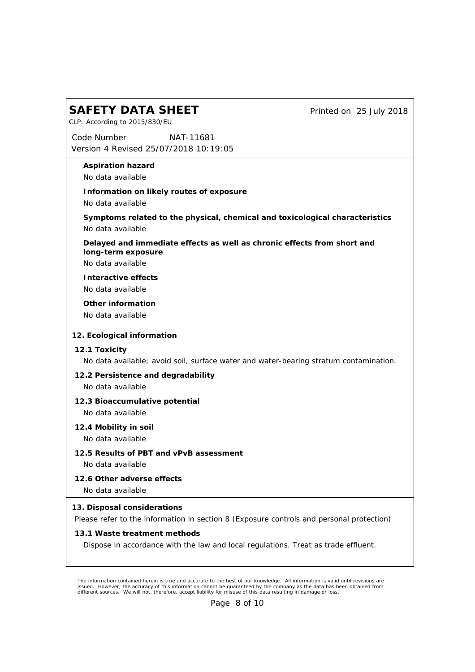CLP: According to 2015/830/EU

*Printed on 25 July 2018*

*Code Number Version 4 Revised 25/07/2018 10:19:05 NAT-11681*

| Aspiration hazard<br>No data available                                                                                  |
|-------------------------------------------------------------------------------------------------------------------------|
| Information on likely routes of exposure<br>No data available                                                           |
| Symptoms related to the physical, chemical and toxicological characteristics<br>No data available                       |
| Delayed and immediate effects as well as chronic effects from short and<br>long-term exposure<br>No data available      |
| Interactive effects<br>No data available                                                                                |
| Other information<br>No data available                                                                                  |
| 12. Ecological information                                                                                              |
| 12.1 Toxicity                                                                                                           |
| No data available; avoid soil, surface water and water-bearing stratum contamination.                                   |
| 12.2 Persistence and degradability<br>No data available                                                                 |
| 12.3 Bioaccumulative potential<br>No data available                                                                     |
| 12.4 Mobility in soil<br>No data available                                                                              |
| 12.5 Results of PBT and vPvB assessment<br>No data available                                                            |
|                                                                                                                         |
| 12.6 Other adverse effects<br>No data available                                                                         |
| 13. Disposal considerations<br>Please refer to the information in section 8 (Exposure controls and personal protection) |

The information contained herein is true and accurate to the best of our knowledge. All information is valid until revisions are<br>issued. However, the accuracy of this information cannot be guaranteed by the company as the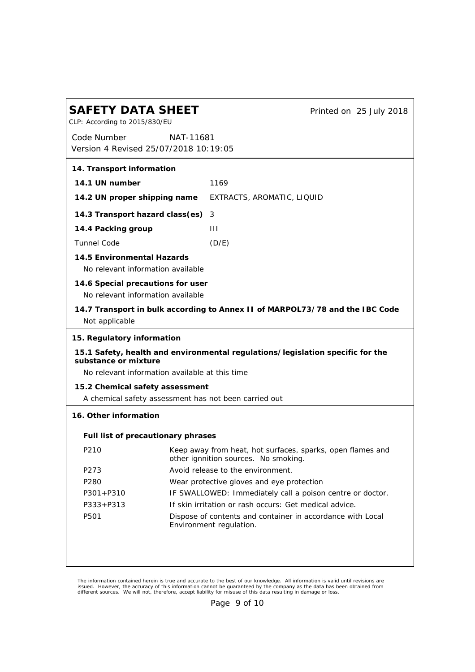*Printed on 25 July 2018*

*Code Number* CLP: According to 2015/830/EU *NAT-11681*

*Version 4 Revised 25/07/2018 10:19:05*

| 14. Transport information                                                                                                                                |                                                                                                    |  |
|----------------------------------------------------------------------------------------------------------------------------------------------------------|----------------------------------------------------------------------------------------------------|--|
| 14.1 UN number                                                                                                                                           | 1169                                                                                               |  |
| 14.2 UN proper shipping name                                                                                                                             | EXTRACTS, AROMATIC, LIQUID                                                                         |  |
| 14.3 Transport hazard class(es)                                                                                                                          | 3                                                                                                  |  |
| 14.4 Packing group                                                                                                                                       | $\mathbf{H}$                                                                                       |  |
| <b>Tunnel Code</b>                                                                                                                                       | (D/E)                                                                                              |  |
| 14.5 Environmental Hazards<br>No relevant information available                                                                                          |                                                                                                    |  |
| 14.6 Special precautions for user<br>No relevant information available                                                                                   |                                                                                                    |  |
| 14.7 Transport in bulk according to Annex II of MARPOL73/78 and the IBC Code<br>Not applicable                                                           |                                                                                                    |  |
| 15. Regulatory information                                                                                                                               |                                                                                                    |  |
| 15.1 Safety, health and environmental regulations/legislation specific for the<br>substance or mixture<br>No relevant information available at this time |                                                                                                    |  |
|                                                                                                                                                          |                                                                                                    |  |
| 15.2 Chemical safety assessment<br>A chemical safety assessment has not been carried out                                                                 |                                                                                                    |  |
| 16. Other information                                                                                                                                    |                                                                                                    |  |
|                                                                                                                                                          |                                                                                                    |  |
| Full list of precautionary phrases                                                                                                                       |                                                                                                    |  |
| P210                                                                                                                                                     | Keep away from heat, hot surfaces, sparks, open flames and<br>other ignnition sources. No smoking. |  |
| P273                                                                                                                                                     | Avoid release to the environment.                                                                  |  |
| P <sub>280</sub>                                                                                                                                         | Wear protective gloves and eye protection                                                          |  |
| $P301 + P310$                                                                                                                                            | IF SWALLOWED: Immediately call a poison centre or doctor.                                          |  |
| $P333 + P313$                                                                                                                                            | If skin irritation or rash occurs: Get medical advice.                                             |  |
| P501                                                                                                                                                     | Dispose of contents and container in accordance with Local<br>Environment regulation.              |  |
|                                                                                                                                                          |                                                                                                    |  |
|                                                                                                                                                          |                                                                                                    |  |
|                                                                                                                                                          |                                                                                                    |  |

The information contained herein is true and accurate to the best of our knowledge. All information is valid until revisions are<br>issued. However, the accuracy of this information cannot be guaranteed by the company as the